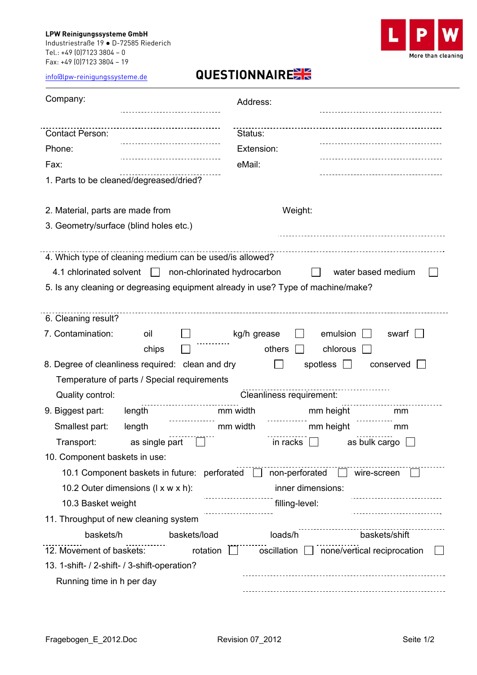## **LPW Reinigungssysteme GmbH**  Industriestraße 19 ● D-72585 Riederich Tel.: +49 (0)7123 3804 – 0 Fax: +49 (0)7123 3804 – 19



info@lpw-reinigungssysteme.de **QUESTIONNAIRE**

| Company:                                                                                                                                                                                                                              | Address:                         |  |
|---------------------------------------------------------------------------------------------------------------------------------------------------------------------------------------------------------------------------------------|----------------------------------|--|
| <b>Contact Person:</b>                                                                                                                                                                                                                | Status:                          |  |
| Phone:                                                                                                                                                                                                                                | Extension:                       |  |
| Fax:                                                                                                                                                                                                                                  | eMail:                           |  |
| 1. Parts to be cleaned/degreased/dried?                                                                                                                                                                                               |                                  |  |
| 2. Material, parts are made from                                                                                                                                                                                                      | Weight:                          |  |
| 3. Geometry/surface (blind holes etc.)                                                                                                                                                                                                |                                  |  |
| 4. Which type of cleaning medium can be used/is allowed?<br>4.1 chlorinated solvent<br>non-chlorinated hydrocarbon<br>water based medium<br>$\pm$<br>5. Is any cleaning or degreasing equipment already in use? Type of machine/make? |                                  |  |
| 6. Cleaning result?                                                                                                                                                                                                                   |                                  |  |
| 7. Contamination:<br>oil                                                                                                                                                                                                              | kg/h grease<br>emulsion<br>swarf |  |
| chips                                                                                                                                                                                                                                 | others<br>chlorous               |  |
| 8. Degree of cleanliness required: clean and dry<br>spotless<br>conserved                                                                                                                                                             |                                  |  |
| Temperature of parts / Special requirements                                                                                                                                                                                           |                                  |  |
| Quality control:                                                                                                                                                                                                                      | Cleanliness requirement:         |  |
| 9. Biggest part:<br>length                                                                                                                                                                                                            | mm width<br>mm height<br>mm      |  |
| Smallest part:<br>length                                                                                                                                                                                                              | mm height<br>mm width<br>mm      |  |
| as single part<br>in racks<br>as bulk cargo<br>Transport:                                                                                                                                                                             |                                  |  |
| 10. Component baskets in use:                                                                                                                                                                                                         |                                  |  |
| 10.1 Component baskets in future: perforated<br>non-perforated<br>wire-screen                                                                                                                                                         |                                  |  |
| 10.2 Outer dimensions (I x w x h):                                                                                                                                                                                                    | inner dimensions:                |  |
| 10.3 Basket weight                                                                                                                                                                                                                    | filling-level:                   |  |
| 11. Throughput of new cleaning system                                                                                                                                                                                                 |                                  |  |
| baskets/h<br>baskets/load                                                                                                                                                                                                             | baskets/shift<br>loads/h         |  |
| 12. Movement of baskets:<br>rotation<br>oscillation<br>none/vertical reciprocation                                                                                                                                                    |                                  |  |
| 13. 1-shift- / 2-shift- / 3-shift-operation?                                                                                                                                                                                          |                                  |  |
| Running time in h per day                                                                                                                                                                                                             |                                  |  |